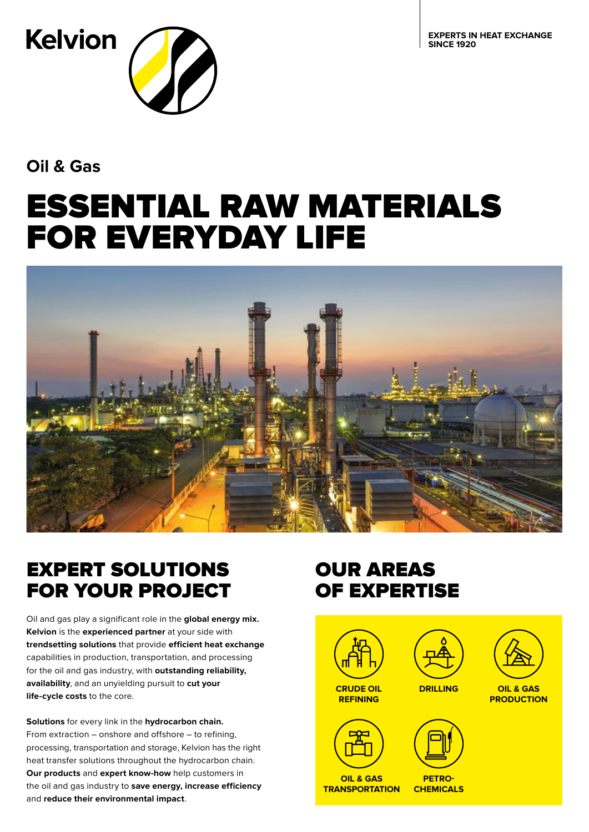**EXPERTS IN HEAT EXCHANGE SINCE 1920**



**Oil & Gas**

# ESSENTIAL RAW MATERIALS FOR EVERYDAY LIFE



### EXPERT SOLUTIONS FOR YOUR PROJECT

Oil and gas play a significant role in the **global energy mix. Kelvion** is the **experienced partner** at your side with **trendsetting solutions** that provide **efficient heat exchange** capabilities in production, transportation, and processing for the oil and gas industry, with **outstanding reliability, availability**, and an unyielding pursuit to **cut your life-cycle costs** to the core.

**Solutions** for every link in the **hydrocarbon chain.** From extraction – onshore and offshore – to refining, processing, transportation and storage, Kelvion has the right heat transfer solutions throughout the hydrocarbon chain. **Our products** and **expert know-how** help customers in the oil and gas industry to **save energy, increase efficiency** and **reduce their environmental impact**.

### OUR AREAS OF EXPERTISE